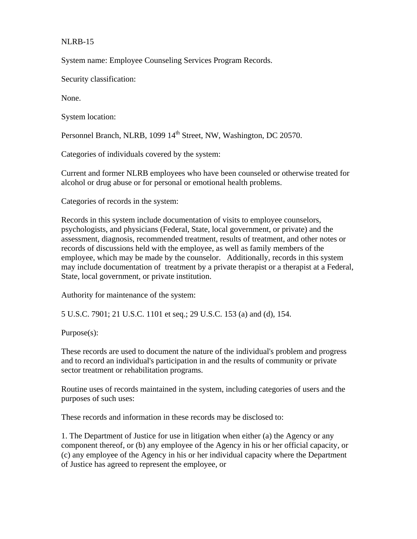## NLRB-15

System name: Employee Counseling Services Program Records.

Security classification:

None.

System location:

Personnel Branch, NLRB, 1099 14<sup>th</sup> Street, NW, Washington, DC 20570.

Categories of individuals covered by the system:

Current and former NLRB employees who have been counseled or otherwise treated for alcohol or drug abuse or for personal or emotional health problems.

Categories of records in the system:

Records in this system include documentation of visits to employee counselors, psychologists, and physicians (Federal, State, local government, or private) and the assessment, diagnosis, recommended treatment, results of treatment, and other notes or records of discussions held with the employee, as well as family members of the employee, which may be made by the counselor. Additionally, records in this system may include documentation of treatment by a private therapist or a therapist at a Federal, State, local government, or private institution.

Authority for maintenance of the system:

5 U.S.C. 7901; 21 U.S.C. 1101 et seq.; 29 U.S.C. 153 (a) and (d), 154.

Purpose(s):

These records are used to document the nature of the individual's problem and progress and to record an individual's participation in and the results of community or private sector treatment or rehabilitation programs.

Routine uses of records maintained in the system, including categories of users and the purposes of such uses:

These records and information in these records may be disclosed to:

1. The Department of Justice for use in litigation when either (a) the Agency or any component thereof, or (b) any employee of the Agency in his or her official capacity, or (c) any employee of the Agency in his or her individual capacity where the Department of Justice has agreed to represent the employee, or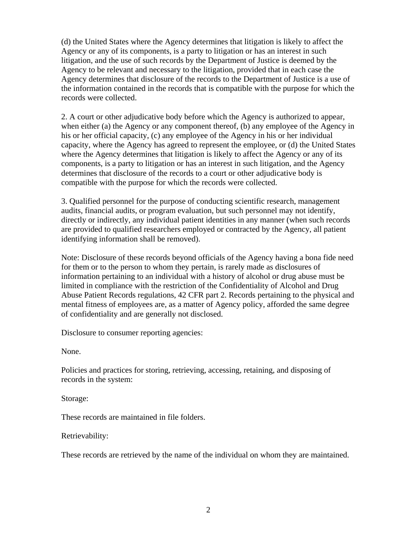(d) the United States where the Agency determines that litigation is likely to affect the Agency or any of its components, is a party to litigation or has an interest in such litigation, and the use of such records by the Department of Justice is deemed by the Agency to be relevant and necessary to the litigation, provided that in each case the Agency determines that disclosure of the records to the Department of Justice is a use of the information contained in the records that is compatible with the purpose for which the records were collected.

2. A court or other adjudicative body before which the Agency is authorized to appear, when either (a) the Agency or any component thereof, (b) any employee of the Agency in his or her official capacity, (c) any employee of the Agency in his or her individual capacity, where the Agency has agreed to represent the employee, or (d) the United States where the Agency determines that litigation is likely to affect the Agency or any of its components, is a party to litigation or has an interest in such litigation, and the Agency determines that disclosure of the records to a court or other adjudicative body is compatible with the purpose for which the records were collected.

3. Qualified personnel for the purpose of conducting scientific research, management audits, financial audits, or program evaluation, but such personnel may not identify, directly or indirectly, any individual patient identities in any manner (when such records are provided to qualified researchers employed or contracted by the Agency, all patient identifying information shall be removed).

Note: Disclosure of these records beyond officials of the Agency having a bona fide need for them or to the person to whom they pertain, is rarely made as disclosures of information pertaining to an individual with a history of alcohol or drug abuse must be limited in compliance with the restriction of the Confidentiality of Alcohol and Drug Abuse Patient Records regulations, 42 CFR part 2. Records pertaining to the physical and mental fitness of employees are, as a matter of Agency policy, afforded the same degree of confidentiality and are generally not disclosed.

Disclosure to consumer reporting agencies:

None.

Policies and practices for storing, retrieving, accessing, retaining, and disposing of records in the system:

Storage:

These records are maintained in file folders.

Retrievability:

These records are retrieved by the name of the individual on whom they are maintained.